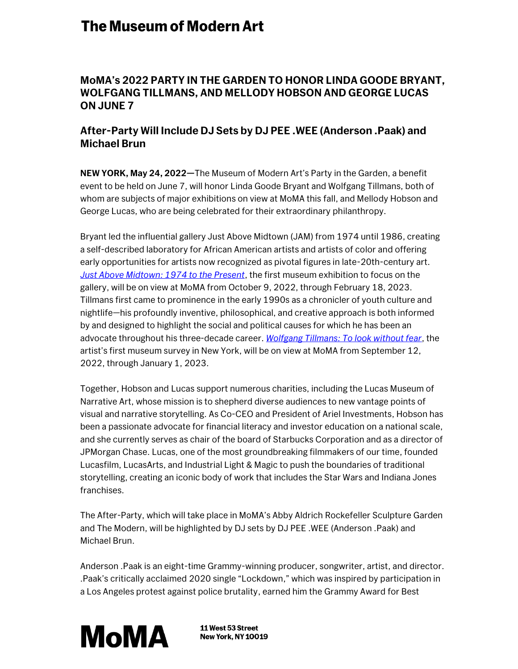## **The Museum of Modern Art**

## **MoMA's 2022 PARTY IN THE GARDEN TO HONOR LINDA GOODE BRYANT, WOLFGANG TILLMANS, AND MELLODY HOBSON AND GEORGE LUCAS ON JUNE 7**

## **After-Party Will Include DJ Sets by DJ PEE .WEE (Anderson .Paak) and Michael Brun**

**NEW YORK, May 24, 2022—**The Museum of Modern Art's Party in the Garden, a benefit event to be held on June 7, will honor Linda Goode Bryant and Wolfgang Tillmans, both of whom are subjects of major exhibitions on view at MoMA this fall, and Mellody Hobson and George Lucas, who are being celebrated for their extraordinary philanthropy.

Bryant led the influential gallery Just Above Midtown (JAM) from 1974 until 1986, creating a self-described laboratory for African American artists and artists of color and offering early opportunities for artists now recognized as pivotal figures in late-20th-century art. *[Just Above Midtown: 1974 to the Present](http://press.moma.org/exhibition/just-above-midtown/)*, the first museum exhibition to focus on the gallery, will be on view at MoMA from October 9, 2022, through February 18, 2023. Tillmans first came to prominence in the early 1990s as a chronicler of youth culture and nightlife—his profoundly inventive, philosophical, and creative approach is both informed by and designed to highlight the social and political causes for which he has been an advocate throughout his three-decade career. *[Wolfgang Tillmans: To look without fear](https://press.moma.org/exhibition/wolfgang-tillmans/)*, the artist's first museum survey in New York, will be on view at MoMA from September 12, 2022, through January 1, 2023.

Together, Hobson and Lucas support numerous charities, including the Lucas Museum of Narrative Art, whose mission is to shepherd diverse audiences to new vantage points of visual and narrative storytelling. As Co-CEO and President of Ariel Investments, Hobson has been a passionate advocate for financial literacy and investor education on a national scale, and she currently serves as chair of the board of Starbucks Corporation and as a director of JPMorgan Chase. Lucas, one of the most groundbreaking filmmakers of our time, founded Lucasfilm, LucasArts, and Industrial Light & Magic to push the boundaries of traditional storytelling, creating an iconic body of work that includes the Star Wars and Indiana Jones franchises.

The After-Party, which will take place in MoMA's Abby Aldrich Rockefeller Sculpture Garden and The Modern, will be highlighted by DJ sets by DJ PEE .WEE (Anderson .Paak) and Michael Brun.

Anderson .Paak is an eight-time Grammy-winning producer, songwriter, artist, and director. .Paak's critically acclaimed 2020 single "Lockdown," which was inspired by participation in a Los Angeles protest against police brutality, earned him the Grammy Award for Best



11 West 53 Street **New York, NY 10019**